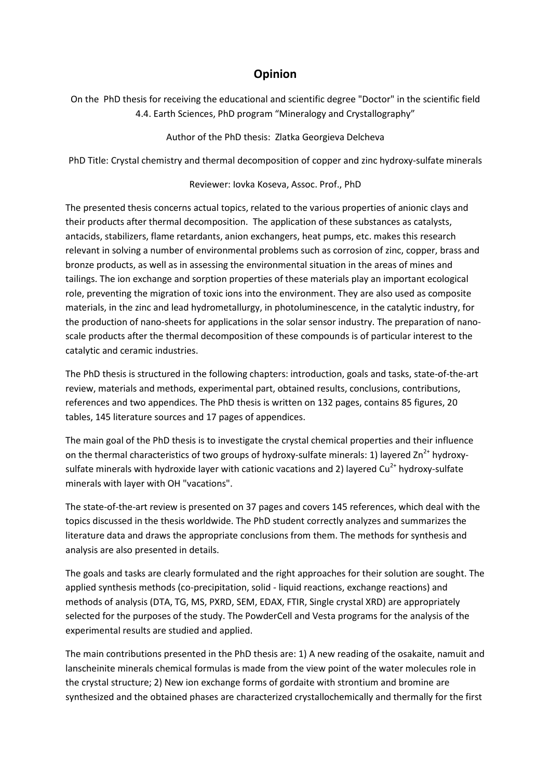## **Opinion**

On the PhD thesis for receiving the educational and scientific degree "Doctor" in the scientific field 4.4. Earth Sciences, PhD program "Mineralogy and Crystallography"

Author of the PhD thesis: Zlatka Georgieva Delcheva

PhD Title: Crystal chemistry and thermal decomposition of copper and zinc hydroxy-sulfate minerals

## Reviewer: Iovka Koseva, Assoc. Prof., PhD

The presented thesis concerns actual topics, related to the various properties of anionic clays and their products after thermal decomposition. The application of these substances as catalysts, antacids, stabilizers, flame retardants, anion exchangers, heat pumps, etc. makes this research relevant in solving a number of environmental problems such as corrosion of zinc, copper, brass and bronze products, as well as in assessing the environmental situation in the areas of mines and tailings. The ion exchange and sorption properties of these materials play an important ecological role, preventing the migration of toxic ions into the environment. They are also used as composite materials, in the zinc and lead hydrometallurgy, in photoluminescence, in the catalytic industry, for the production of nano-sheets for applications in the solar sensor industry. The preparation of nanoscale products after the thermal decomposition of these compounds is of particular interest to the catalytic and ceramic industries.

The PhD thesis is structured in the following chapters: introduction, goals and tasks, state-of-the-art review, materials and methods, experimental part, obtained results, conclusions, contributions, references and two appendices. The PhD thesis is written on 132 pages, contains 85 figures, 20 tables, 145 literature sources and 17 pages of appendices.

The main goal of the PhD thesis is to investigate the crystal chemical properties and their influence on the thermal characteristics of two groups of hydroxy-sulfate minerals: 1) layered  $\text{Zn}^{2+}$  hydroxysulfate minerals with hydroxide layer with cationic vacations and 2) layered  $Cu<sup>2+</sup>$  hydroxy-sulfate minerals with layer with OH "vacations".

The state-of-the-art review is presented on 37 pages and covers 145 references, which deal with the topics discussed in the thesis worldwide. The PhD student correctly analyzes and summarizes the literature data and draws the appropriate conclusions from them. The methods for synthesis and analysis are also presented in details.

The goals and tasks are clearly formulated and the right approaches for their solution are sought. The applied synthesis methods (co-precipitation, solid - liquid reactions, exchange reactions) and methods of analysis (DTA, TG, MS, PXRD, SEM, EDAX, FTIR, Single crystal XRD) are appropriately selected for the purposes of the study. The PowderCell and Vesta programs for the analysis of the experimental results are studied and applied.

The main contributions presented in the PhD thesis are: 1) A new reading of the osakaite, namuit and lanscheinite minerals chemical formulas is made from the view point of the water molecules role in the crystal structure; 2) New ion exchange forms of gordaite with strontium and bromine are synthesized and the obtained phases are characterized crystallochemically and thermally for the first